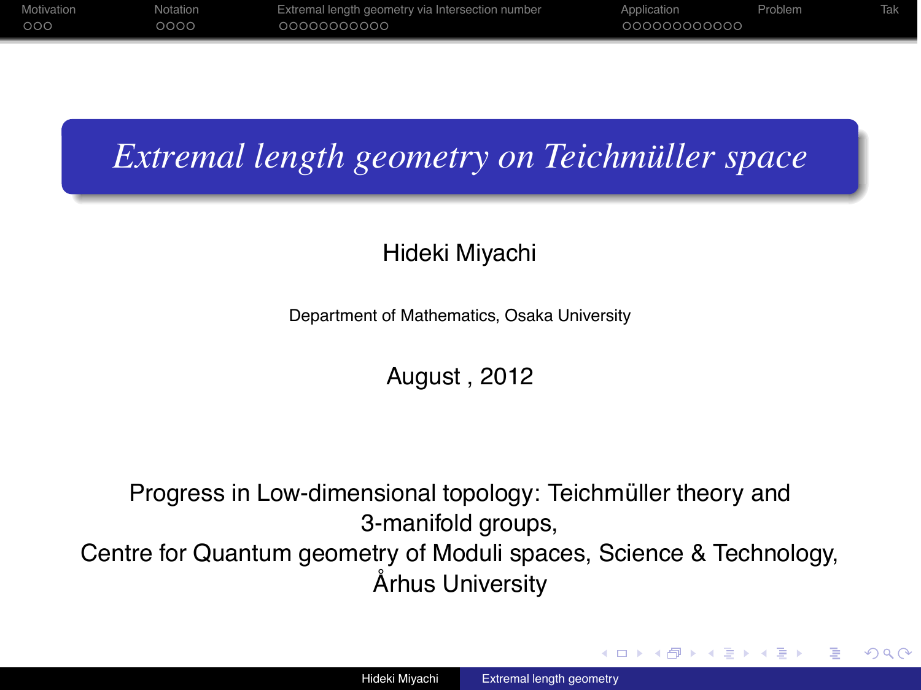| Motivation | Notation | Extremal length geometry via Intersection number | Application  | Problem |  |
|------------|----------|--------------------------------------------------|--------------|---------|--|
| 000        | 0000     | 00000000000                                      | 000000000000 |         |  |
|            |          |                                                  |              |         |  |

# *Extremal length geometry on Teichmüller space*

## Hideki Miyachi

Department of Mathematics, Osaka University

August , 2012

Progress in Low-dimensional topology: Teichmüller theory and 3-manifold groups,

Centre for Quantum geometry of Moduli spaces, Science & Technology, Århus University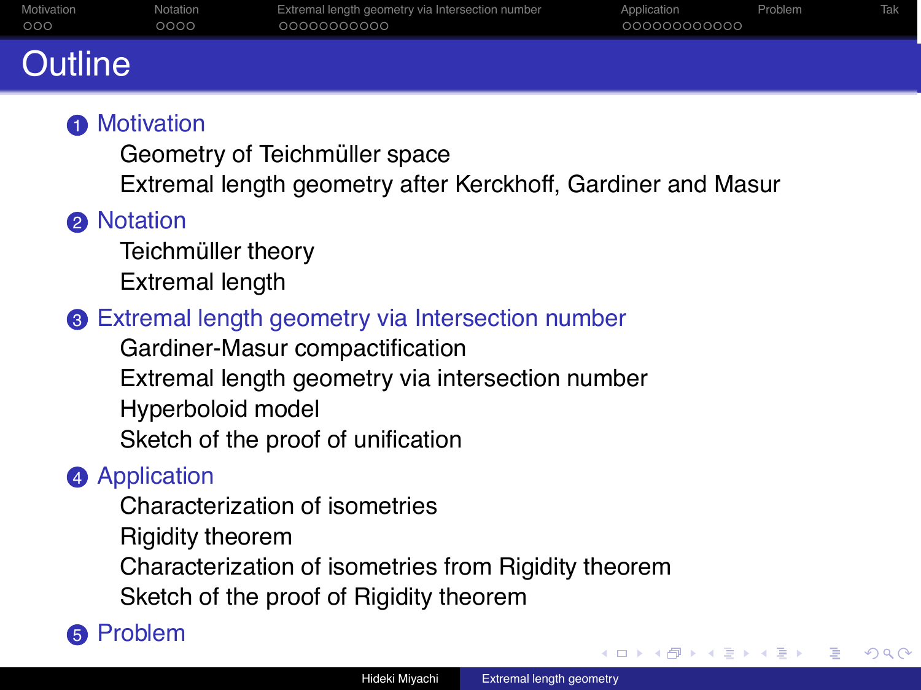| ---        |          |                                                  |              |         |            |
|------------|----------|--------------------------------------------------|--------------|---------|------------|
| 000        | 0000     | 00000000000                                      | 000000000000 |         |            |
| Motivation | Notation | Extremal length geometry via Intersection number | Application  | Problem | <b>Tak</b> |

# Outline

## **6** Motivation

Geometry of Teichmüller space

Extremal length geometry after Kerckhoff, Gardiner and Masur

## **2** Notation

Teichmüller theory Extremal length

## <sup>3</sup> Extremal length geometry via Intersection number

Gardiner-Masur compactification Extremal length geometry via intersection number Hyperboloid model Sketch of the proof of unification

## **4** Application

Characterization of isometries Rigidity theorem Characterization of isometries from Rigidity theorem Sketch of the proof of Rigidity theorem

## **6** Problem

∢ ロ ▶ ∢ 何 ▶ ∢ ヨ ▶ ∢ ヨ ▶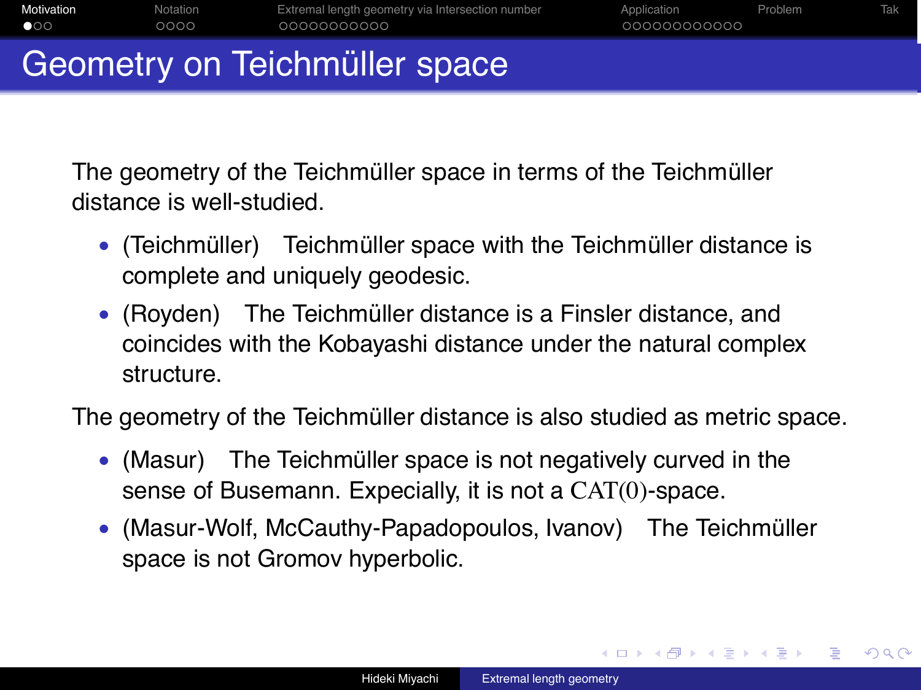|              | Coometrus on Tojohmiller ongoo |                                                  |              |         |     |  |  |  |  |  |
|--------------|--------------------------------|--------------------------------------------------|--------------|---------|-----|--|--|--|--|--|
| $\bullet$ 00 | റററെ                           | 00000000000                                      | 000000000000 |         |     |  |  |  |  |  |
| Motivation   | Notation                       | Extremal length geometry via Intersection number | Application  | Problem | Tak |  |  |  |  |  |

Geometry on Teichmuller space

The geometry of the Teichmüller space in terms of the Teichmüller distance is well-studied.

- (Teichmüller) Teichmüller space with the Teichmüller distance is complete and uniquely geodesic.
- (Royden) The Teichmüller distance is a Finsler distance, and coincides with the Kobayashi distance under the natural complex structure.

The geometry of the Teichmüller distance is also studied as metric space.

- (Masur) The Teichmüller space is not negatively curved in the sense of Busemann. Expecially, it is not a CAT(0)-space.
- (Masur-Wolf, McCauthy-Papadopoulos, Ivanov) The Teichmüller space is not Gromov hyperbolic.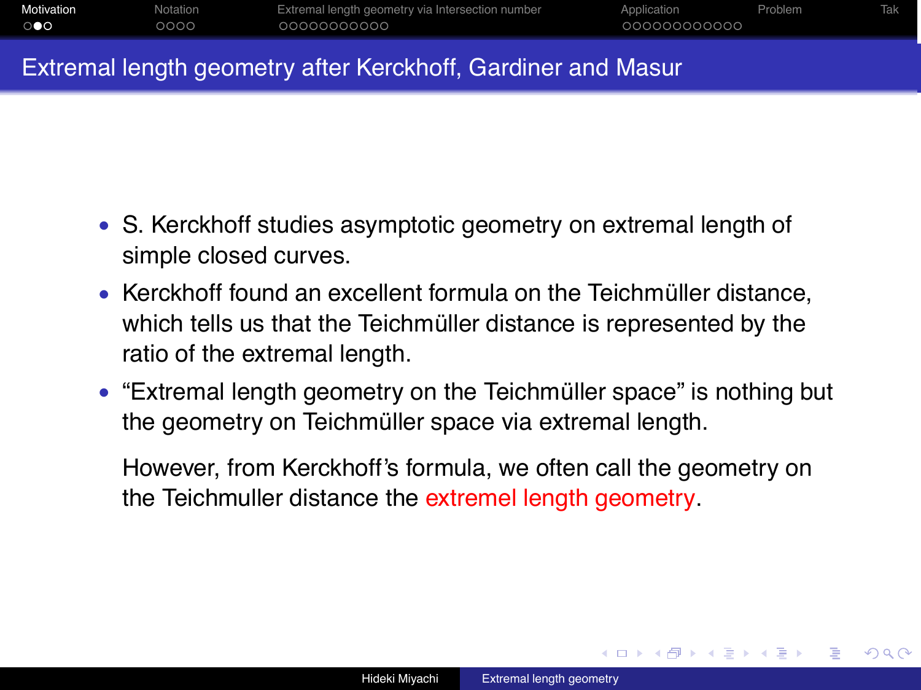| Motivation | Notation | Extremal length geometry via Intersection number | Application  | Problem |  |
|------------|----------|--------------------------------------------------|--------------|---------|--|
| ு          | 2000     | 00000000000                                      | 000000000000 |         |  |

#### Extremal length geometry after Kerckhoff, Gardiner and Masur

- S. Kerckhoff studies asymptotic geometry on extremal length of simple closed curves.
- Kerckhoff found an excellent formula on the Teichmüller distance, which tells us that the Teichmüller distance is represented by the ratio of the extremal length.
- "Extremal length geometry on the Teichmüller space" is nothing but the geometry on Teichmüller space via extremal length.

However, from Kerckhoff's formula, we often call the geometry on the Teichmuller distance the extremel length geometry.

つへへ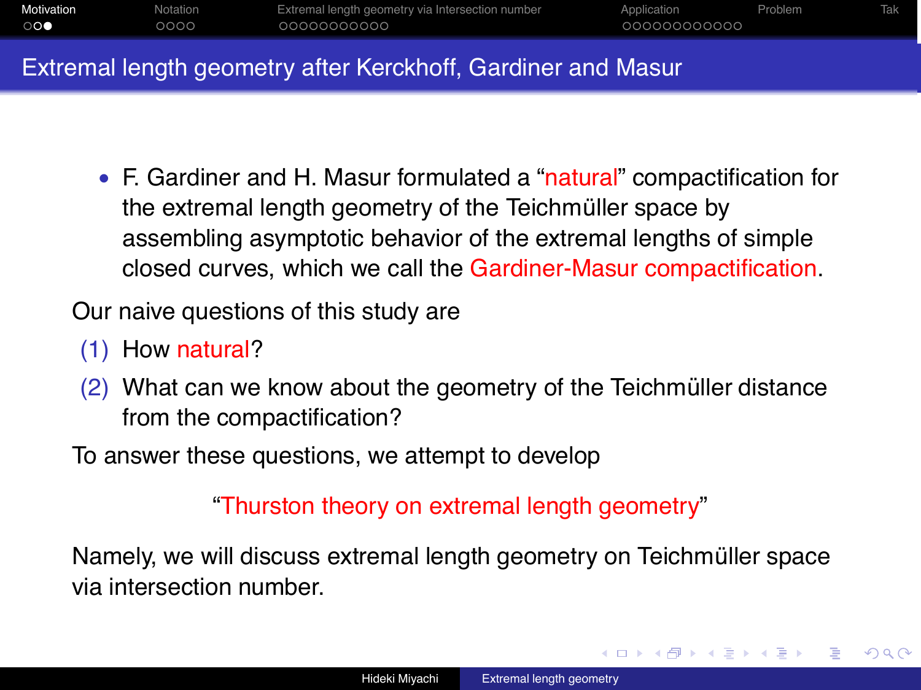| Motivation  | Notation | Extremal length geometry via Intersection number | Application  | <b>Problem</b> | Tak |
|-------------|----------|--------------------------------------------------|--------------|----------------|-----|
| $\circ$ 000 | 0000     | 00000000000                                      | 000000000000 |                |     |
|             |          |                                                  |              |                |     |

#### Extremal length geometry after Kerckhoff, Gardiner and Masur

• F. Gardiner and H. Masur formulated a "natural" compactification for the extremal length geometry of the Teichmüller space by assembling asymptotic behavior of the extremal lengths of simple closed curves, which we call the Gardiner-Masur compactification.

Our naive questions of this study are

- (1) How natural?
- $(2)$  What can we know about the geometry of the Teichmüller distance from the compactification?

To answer these questions, we attempt to develop

"Thurston theory on extremal length geometry"

Namely, we will discuss extremal length geometry on Teichmüller space via intersection number.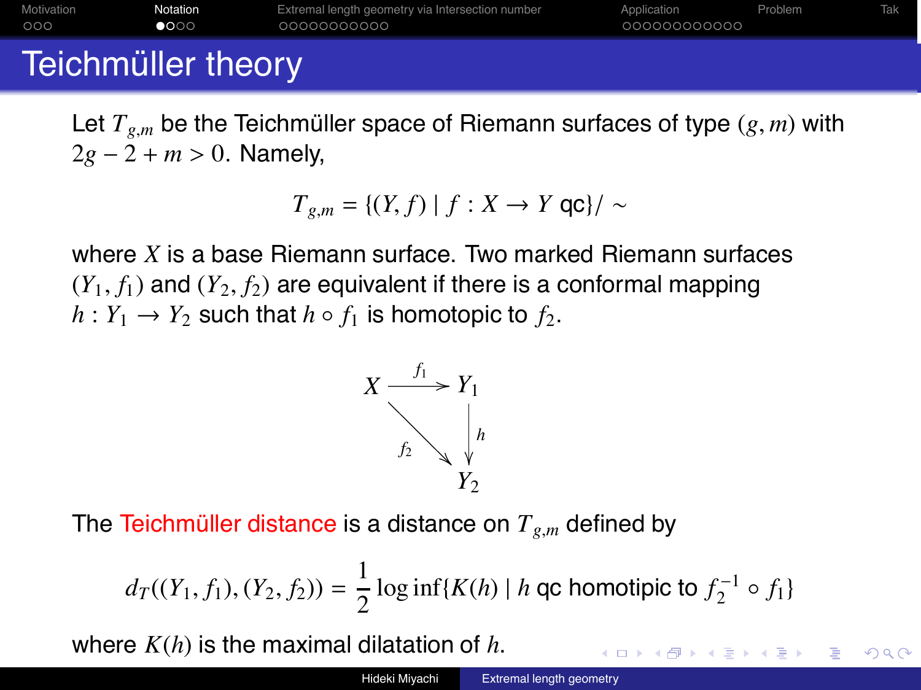| Motivation | Notation | Extremal length geometry via Intersection number | Application  | Problem |  |
|------------|----------|--------------------------------------------------|--------------|---------|--|
| 000        | ●○○○     | 00000000000                                      | 000000000000 |         |  |

# Teichmüller theory

Let  $T_{g,m}$  be the Teichmüller space of Riemann surfaces of type  $(g, m)$  with 2*g* − 2 + *m* > 0. Namely,

$$
T_{g,m} = \{(Y,f) \mid f : X \to Y \text{ qc}\} / \sim
$$

where *X* is a base Riemann surface. Two marked Riemann surfaces  $(Y_1, f_1)$  and  $(Y_2, f_2)$  are equivalent if there is a conformal mapping  $h: Y_1 \rightarrow Y_2$  such that  $h \circ f_1$  is homotopic to  $f_2$ .



The Teichmüller distance is a distance on  $T_{g,m}$  defined by

$$
d_T((Y_1, f_1), (Y_2, f_2)) = \frac{1}{2} \log \inf\{K(h) \mid h \text{ qc homotipic to } f_2^{-1} \circ f_1\}
$$

 $\Omega$ 

where *K*(*h*) is the maximal dilatation of *h*.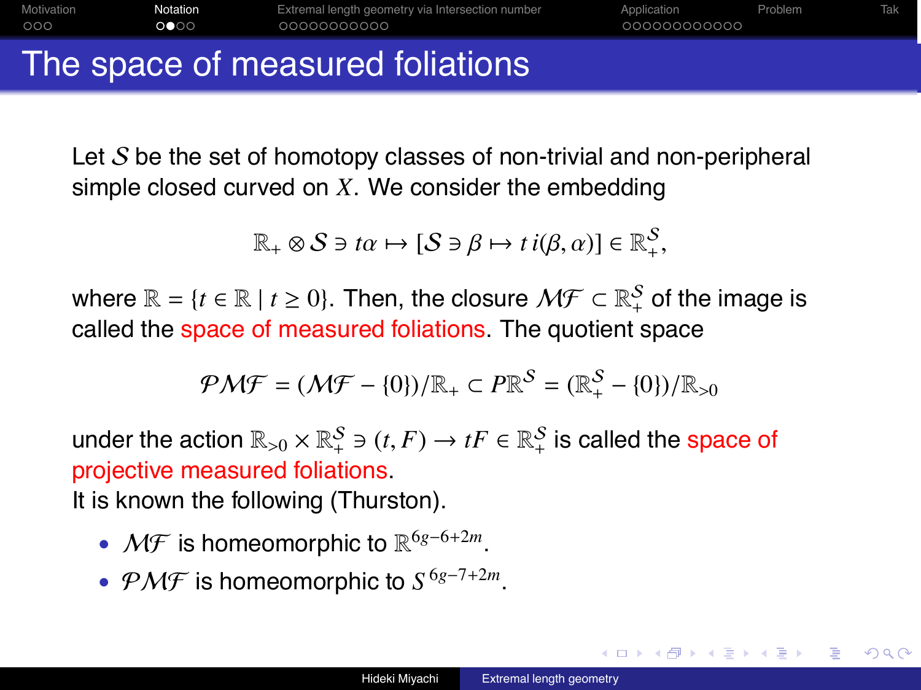Motivation **Notation** Extremal length geometry via Intersection number Application Problem Tak nnn  $0000$ nnnnnnn

The space of measured foliations

Let  $S$  be the set of homotopy classes of non-trivial and non-peripheral simple closed curved on *X*. We consider the embedding

$$
\mathbb{R}_{+} \otimes S \ni t\alpha \mapsto [S \ni \beta \mapsto t \ i(\beta, \alpha)] \in \mathbb{R}_{+}^{S},
$$

where  $\mathbb{R} = \{t \in \mathbb{R} \mid t \geq 0\}$ . Then, the closure  $\mathcal{MF} \subset \mathbb{R}_+^{\mathcal{S}}$  of the image is called the space of measured foliations. The quotient space

$$
\mathcal{PMF} = (\mathcal{MF} - \{0\}) / \mathbb{R}_+ \subset P \mathbb{R}^S = (\mathbb{R}_+^S - \{0\}) / \mathbb{R}_{>0}
$$

under the action  $\mathbb{R}_{>0}\times\mathbb{R}^{\mathcal{S}}_{+}\ni(t, F)\rightarrow tF\in\mathbb{R}^{\mathcal{S}}_{+}$  is called the space of projective measured foliations. It is known the following (Thurston).

- MF is homeomorphic to R<sup>6</sup>*g*−6+2*m*.
- PMF is homeomorphic to *S* <sup>6</sup>*g*−7+2*m*.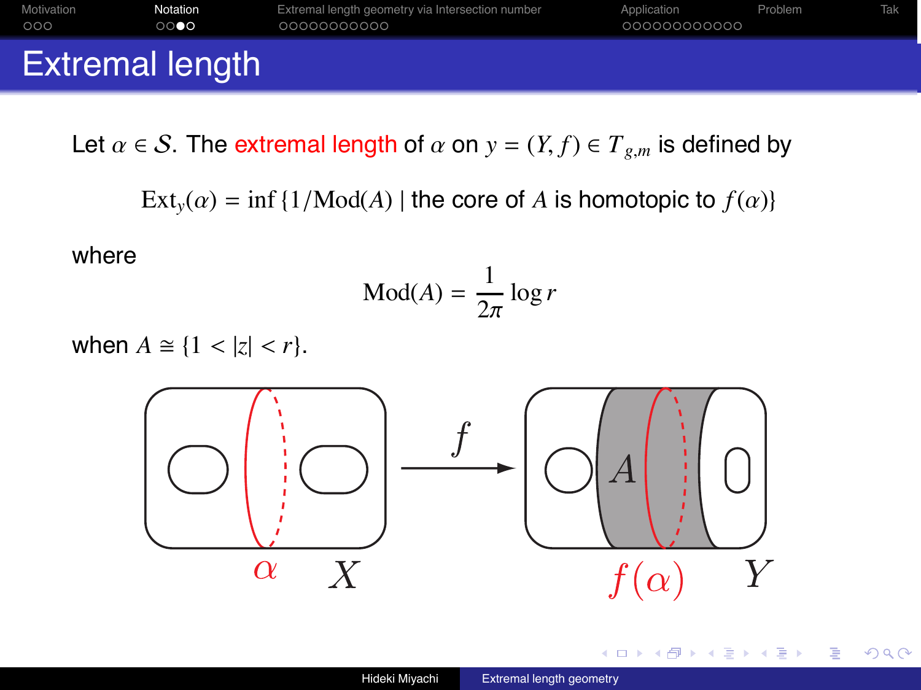| 000                    | റററെ | 00000000000 | 000000000000 |  |
|------------------------|------|-------------|--------------|--|
| <b>Extremal length</b> |      |             |              |  |

Let  $\alpha \in S$ . The extremal length of  $\alpha$  on  $y = (Y, f) \in T_{g,m}$  is defined by

 $Ext_v(\alpha) = \inf \{1/Mod(A) \mid \text{the core of } A \text{ is homotopic to } f(\alpha)\}\$ 

where

$$
Mod(A) = \frac{1}{2\pi} \log r
$$

when  $A \cong \{1 < |z| < r\}.$ 



 $\blacksquare$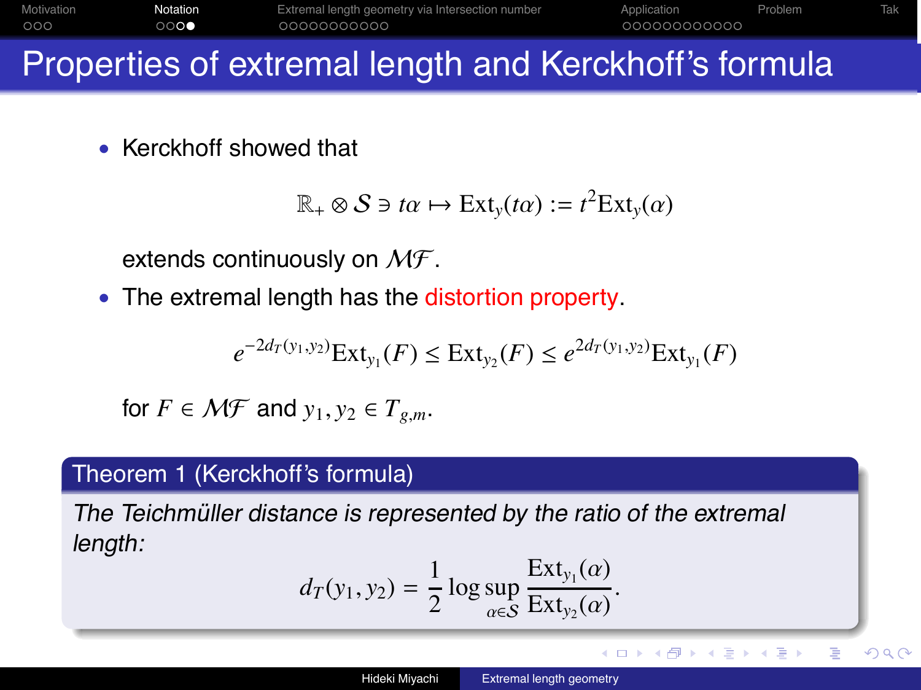| Motivation | Notation | Extremal length geometry via Intersection number | Application  | <b>Problem</b> |  |
|------------|----------|--------------------------------------------------|--------------|----------------|--|
| 000        | ററെ      | 00000000000                                      | 000000000000 |                |  |

# Properties of extremal length and Kerckhoff's formula

• Kerckhoff showed that

$$
\mathbb{R}_{+} \otimes S \ni t\alpha \mapsto \text{Ext}_{y}(t\alpha) := t^{2} \text{Ext}_{y}(\alpha)
$$

extends continuously on  $M\mathcal{F}$ .

• The extremal length has the distortion property.

$$
e^{-2d_T(y_1,y_2)}\text{Ext}_{y_1}(F) \le \text{Ext}_{y_2}(F) \le e^{2d_T(y_1,y_2)}\text{Ext}_{y_1}(F)
$$

for  $F \in \mathcal{MF}$  and  $y_1, y_2 \in T_{g,m}$ .

### Theorem 1 (Kerckhoff's formula)

The Teichmüller distance is represented by the ratio of the extremal length:

$$
d_T(y_1, y_2) = \frac{1}{2} \log \sup_{\alpha \in \mathcal{S}} \frac{\text{Ext}_{y_1}(\alpha)}{\text{Ext}_{y_2}(\alpha)}.
$$

B

∢ ロ ▶ ( 何 ) ( ミ ) ( ミ )

 $QQ$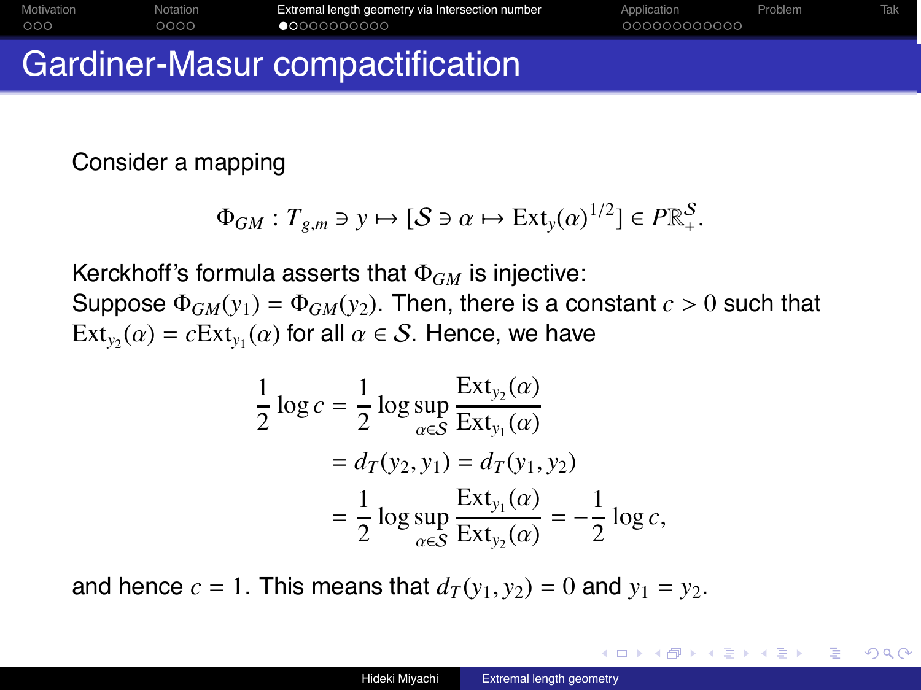| Motivation | Notation | Extremal length geometry via Intersection number | Application  | Problem <sup>®</sup> | Tak |
|------------|----------|--------------------------------------------------|--------------|----------------------|-----|
| 000        | 0000     | $\bullet$ 0000000000                             | 000000000000 |                      |     |
|            |          |                                                  |              |                      |     |

# Gardiner-Masur compactification

Consider a mapping

$$
\Phi_{GM}:T_{g,m}\ni y\mapsto [\mathcal{S}\ni\alpha\mapsto \text{Ext}_y(\alpha)^{1/2}]\in P\mathbb{R}^\mathcal{S}_+.
$$

Kerckhoff's formula asserts that Φ*GM* is injective:

Suppose  $\Phi_{GM}(y_1) = \Phi_{GM}(y_2)$ . Then, there is a constant  $c > 0$  such that  $Ext_{v_2}(\alpha) = cExt_{v_1}(\alpha)$  for all  $\alpha \in S$ . Hence, we have

$$
\frac{1}{2}\log c = \frac{1}{2}\log \sup_{\alpha \in S} \frac{\text{Ext}_{y_2}(\alpha)}{\text{Ext}_{y_1}(\alpha)}
$$

$$
= d_T(y_2, y_1) = d_T(y_1, y_2)
$$

$$
= \frac{1}{2}\log \sup_{\alpha \in S} \frac{\text{Ext}_{y_1}(\alpha)}{\text{Ext}_{y_2}(\alpha)} = -\frac{1}{2}\log c,
$$

and hence  $c = 1$ . This means that  $d_T(v_1, v_2) = 0$  and  $v_1 = v_2$ .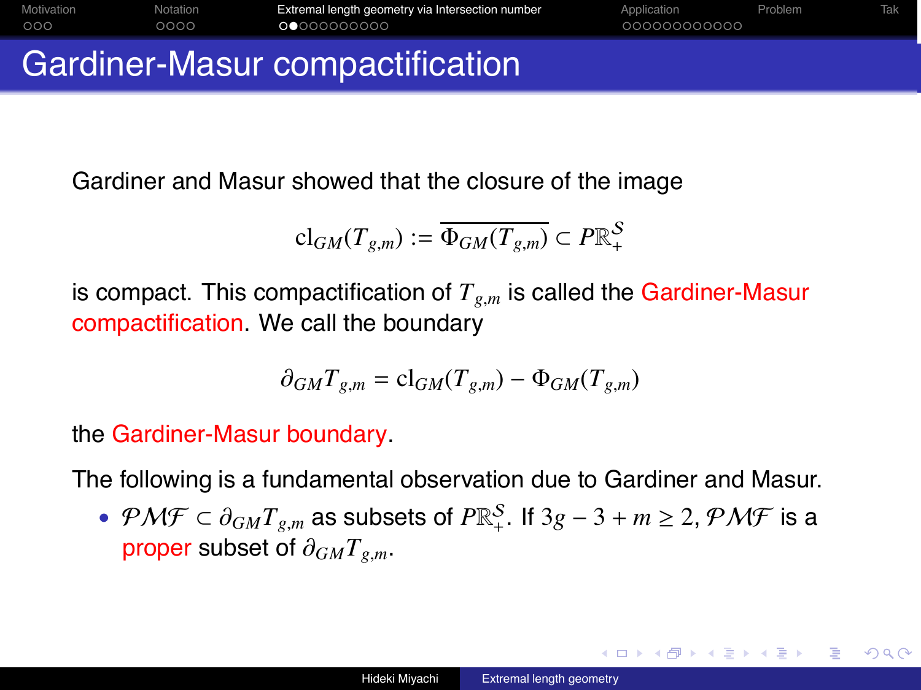|            |          | . A consider the Miller company of the set of the set of the set of the set of the set of the set of the set of |              |         |     |
|------------|----------|-----------------------------------------------------------------------------------------------------------------|--------------|---------|-----|
| 000        | ററററ     | 00000000000                                                                                                     | 000000000000 |         |     |
| Motivation | Notation | Extremal length geometry via Intersection number                                                                | Application  | Problem | Tak |

## Gardiner-Masur compactification

Gardiner and Masur showed that the closure of the image

$$
\mathrm{cl}_{GM}(T_{g,m}) := \overline{\Phi_{GM}(T_{g,m})} \subset P \mathbb{R}^{\mathcal{S}}_+
$$

is compact. This compactification of  $T_{g,m}$  is called the Gardiner-Masur compactification. We call the boundary

$$
\partial_{GM}T_{g,m}=\mathrm{cl}_{GM}(T_{g,m})-\Phi_{GM}(T_{g,m})
$$

the Gardiner-Masur boundary.

The following is a fundamental observation due to Gardiner and Masur.

•  $\mathcal{PMF} \subset \partial_{GM} T_{g,m}$  as subsets of  $P \mathbb{R}^S_+$ . If  $3g - 3 + m \geq 2$ ,  $\mathcal{PMF}$  is a proper subset of ∂*GMTg*,*m*.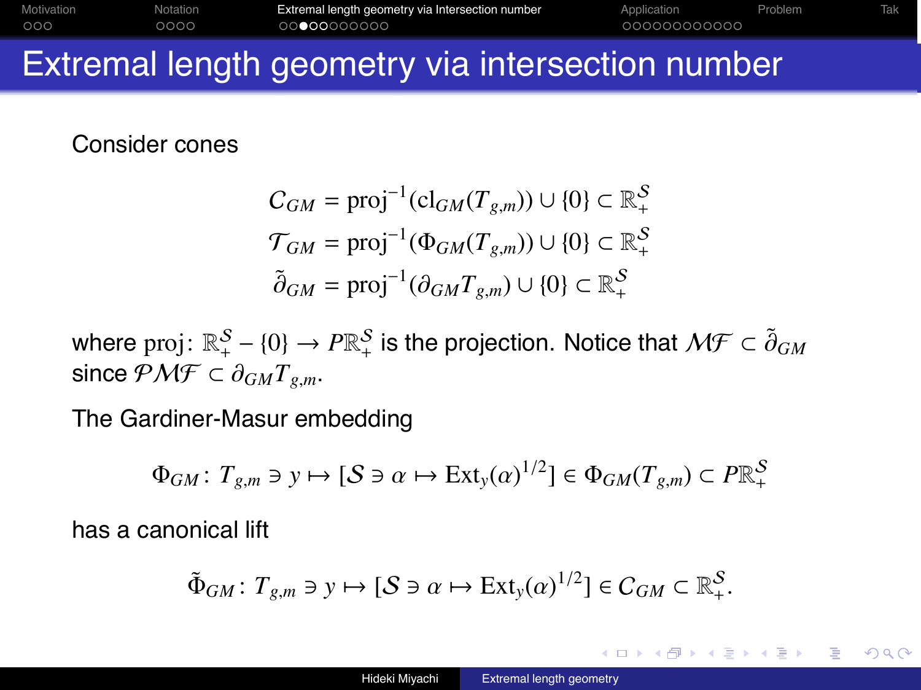| Motivation | Notation | Extremal length geometry via Intersection number | Application  | Problem |  |
|------------|----------|--------------------------------------------------|--------------|---------|--|
| 000        | 2000     | 00000000000                                      | 000000000000 |         |  |

## Extremal length geometry via intersection number

Consider cones

$$
C_{GM} = \text{proj}^{-1}(\text{cl}_{GM}(T_{g,m})) \cup \{0\} \subset \mathbb{R}_+^S
$$
  

$$
\mathcal{T}_{GM} = \text{proj}^{-1}(\Phi_{GM}(T_{g,m})) \cup \{0\} \subset \mathbb{R}_+^S
$$
  

$$
\tilde{\partial}_{GM} = \text{proj}^{-1}(\partial_{GM}T_{g,m}) \cup \{0\} \subset \mathbb{R}_+^S
$$

where  $\text{proj}\colon \mathbb{R}_+^{\mathcal{S}}-\{0\}\to P\mathbb{R}_+^{\mathcal{S}}$  is the projection. Notice that  $\mathcal{MF}\subset \tilde{\partial}_{GM}$ since  $\mathcal{PMF} \subset \partial_{GM} T_{\varrho,m}$ .

The Gardiner-Masur embedding

$$
\Phi_{GM}\colon T_{g,m}\ni y\mapsto [\mathcal{S}\ni\alpha\mapsto \text{Ext}_y(\alpha)^{1/2}]\in\Phi_{GM}(T_{g,m})\subset P\mathbb{R}^{\mathcal{S}}_+
$$

has a canonical lift

$$
\tilde{\Phi}_{GM}\colon T_{g,m}\ni y\mapsto [\mathcal{S}\ni\alpha\mapsto \text{Ext}_y(\alpha)^{1/2}]\in C_{GM}\subset\mathbb{R}^{\mathcal{S}}_+.
$$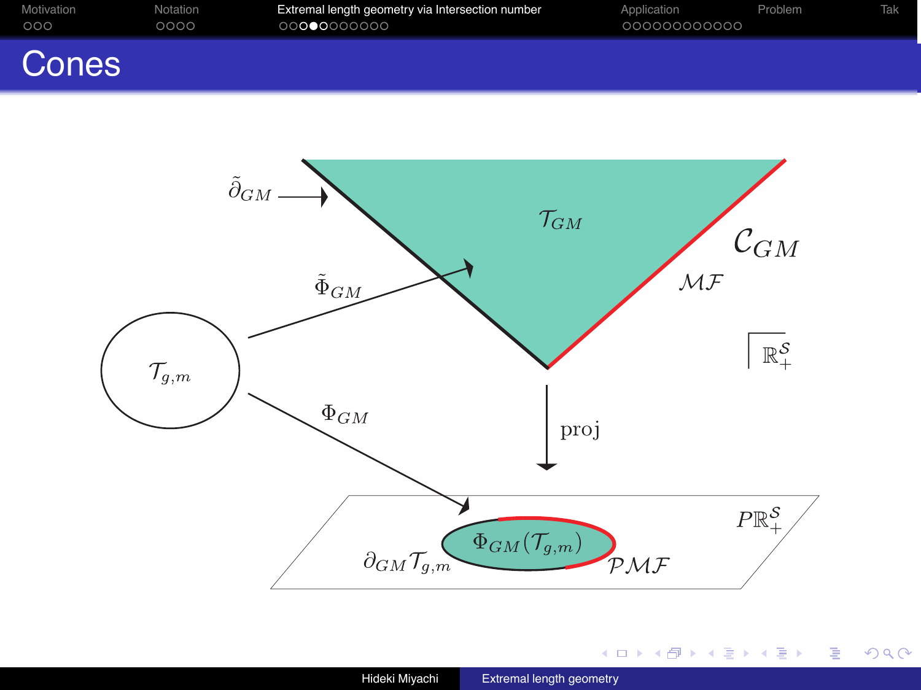| Motivation<br>000 | Notation<br>0000 | Extremal length geometry via Intersection number<br>00000000000 | Application<br>000000000000 | Problem | Tak |
|-------------------|------------------|-----------------------------------------------------------------|-----------------------------|---------|-----|
| Cones             |                  |                                                                 |                             |         |     |



(ロトス部) (連トス重) (

唐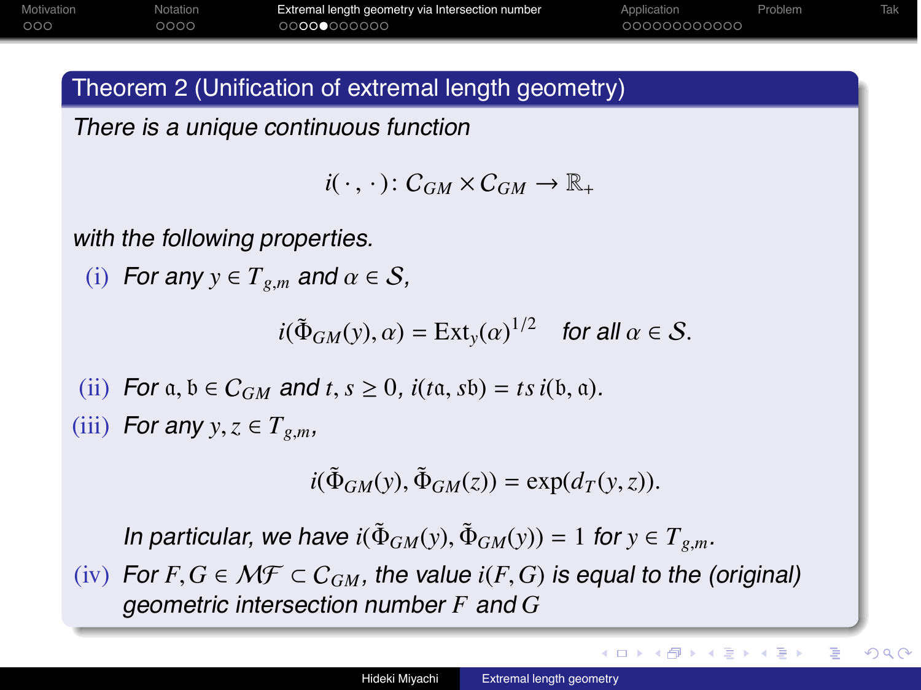| Motivation | Notation | Extremal length geometry via Intersection number | Application  | Problem |  |
|------------|----------|--------------------------------------------------|--------------|---------|--|
| 000        | 0000     | 00000000000                                      | 000000000000 |         |  |

#### Theorem 2 (Unification of extremal length geometry)

There is <sup>a</sup> unique continuous function

 $i(\cdot, \cdot): C_{GM} \times C_{GM} \rightarrow \mathbb{R}$ 

with the following properties.

(i) For any 
$$
y \in T_{g,m}
$$
 and  $\alpha \in S$ ,

$$
i(\tilde{\Phi}_{GM}(y),\alpha) = \text{Ext}_y(\alpha)^{1/2} \quad \text{for all } \alpha \in \mathcal{S}.
$$

- (ii) For  $a, b \in C_{GM}$  and  $t, s \ge 0$ ,  $i(ta, sb) = ts i(b, a)$ .
- (iii) For any  $y, z \in T_{g,m}$ ,

$$
i(\tilde{\Phi}_{GM}(y), \tilde{\Phi}_{GM}(z)) = \exp(d_T(y, z)).
$$

In particular, we have  $i(\Phi_{GM}(y), \Phi_{GM}(y)) = 1$  for  $y \in T_{g,m}$ .

 $(iv)$  For *F*, *G* ∈ *MF* ⊂  $C_{GM}$ , the value *i*(*F*, *G*) is equal to the (original) geometric intersection number *F* and *G*

**≮ロト (母) (ヨ) (ヨ)** 

B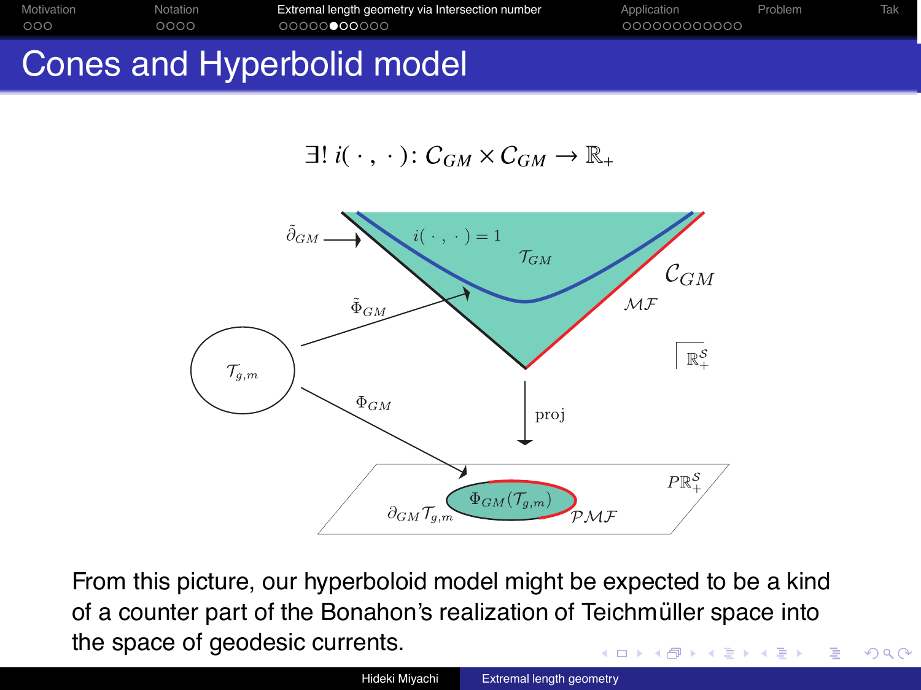| Motivation | Notation | Extremal length geometry via Intersection number | Application  | Problem | Tak |
|------------|----------|--------------------------------------------------|--------------|---------|-----|
| 000        | 0000     | 00000000000                                      | 000000000000 |         |     |
|            |          |                                                  |              |         |     |

# Cones and Hyperbolid model





From this picture, our hyperboloid model might be expected to be a kind of a counter part of the Bonahon's realization of Teichmüller space into the space of geodesic currents. イロト イ押 トイヨ トイヨト B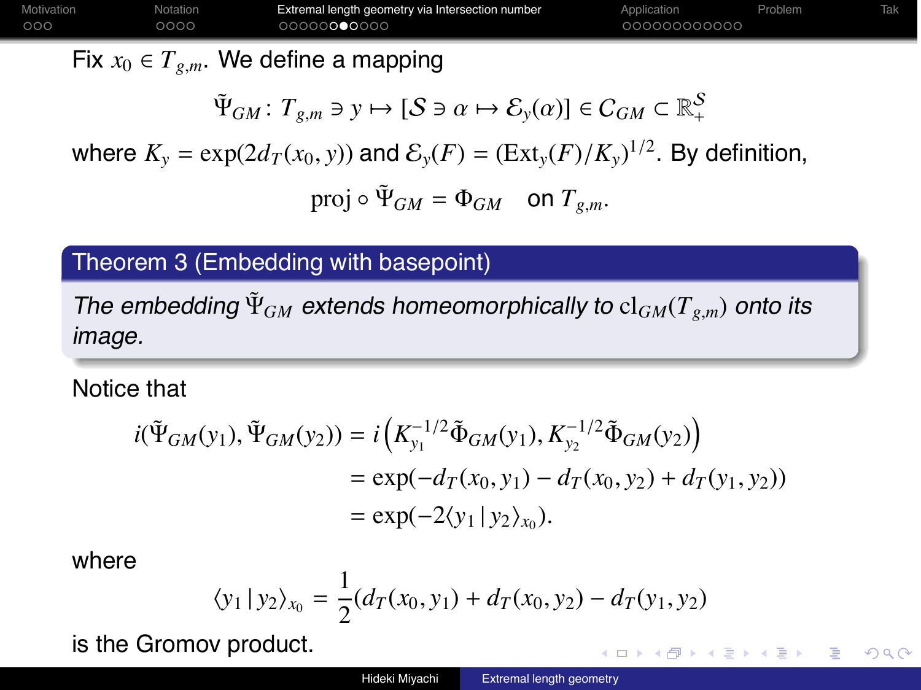| Motivation | Notation | Extremal length geometry via Intersection number | Application  | Problem |  |
|------------|----------|--------------------------------------------------|--------------|---------|--|
| 000        | 0000     | 00000000000                                      | 000000000000 |         |  |
|            |          |                                                  |              |         |  |

Fix  $x_0 \in T_{g,m}$ . We define a mapping

$$
\tilde{\Psi}_{GM}\colon T_{g,m}\ni y\mapsto [\mathcal{S}\ni\alpha\mapsto \mathcal{E}_y(\alpha)]\in C_{GM}\subset\mathbb{R}_+^{\mathcal{S}}
$$

where  $K_y = \exp(2d_T(x_0, y))$  and  $\mathcal{E}_y(F) = (\text{Ext}_y(F)/K_y)^{1/2}$ . By definition, proj  $\circ \tilde{\Psi}_{GM} = \Phi_{GM}$  on  $T_{g,m}$ .

### Theorem 3 (Embedding with basepoint)

The embedding  $\Psi_{GM}$  extends homeomorphically to  $\text{cl}_{GM}(T_{g,m})$  onto its image.

#### Notice that

$$
i(\tilde{\Psi}_{GM}(y_1), \tilde{\Psi}_{GM}(y_2)) = i\left(K_{y_1}^{-1/2}\tilde{\Phi}_{GM}(y_1), K_{y_2}^{-1/2}\tilde{\Phi}_{GM}(y_2)\right)
$$
  
=  $\exp(-d_T(x_0, y_1) - d_T(x_0, y_2) + d_T(y_1, y_2))$   
=  $\exp(-2\langle y_1 | y_2 \rangle_{x_0}).$ 

where

$$
\langle y_1 | y_2 \rangle_{x_0} = \frac{1}{2} (d_T(x_0, y_1) + d_T(x_0, y_2) - d_T(y_1, y_2))
$$

is the Gromov product.

 $\eta$ an G.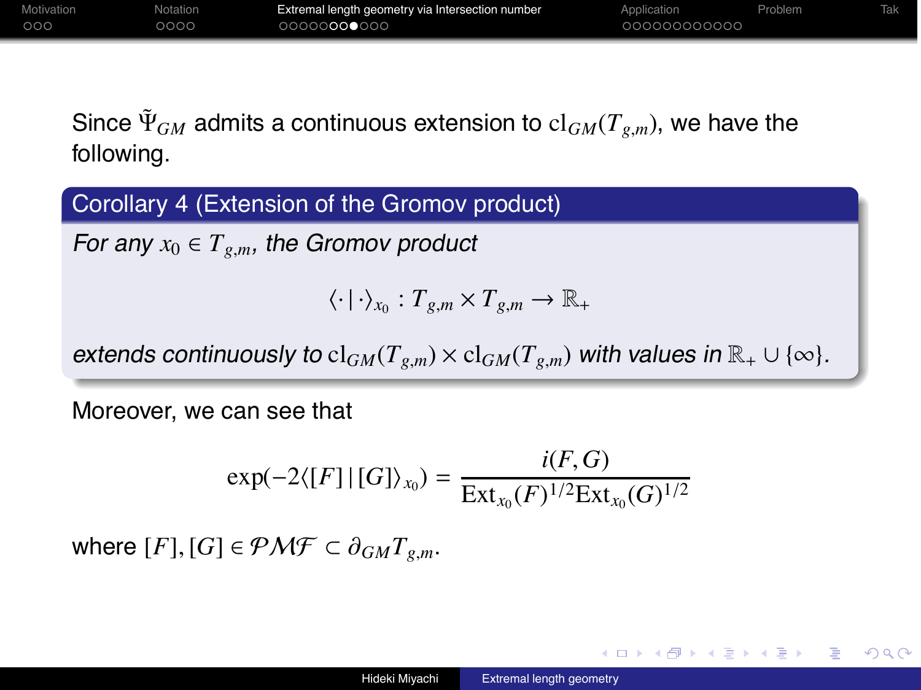| Motivation | Notation | Extremal length geometry via Intersection number | Application  | Problem |  |
|------------|----------|--------------------------------------------------|--------------|---------|--|
| .000       | 0000     | 00000000000                                      | 000000000000 |         |  |

Since  $\tilde{\Psi}_{GM}$  admits a continuous extension to  $cl_{GM}(T_{g,m})$ , we have the following.

Corollary 4 (Extension of the Gromov product)

For any  $x_0 \in T_{g,m}$ , the Gromov product

 $\langle \cdot | \cdot \rangle_{x_0} : T_{\varrho,m} \times T_{\varrho,m} \to \mathbb{R}_+$ 

extends continuously to  $cl_{GM}(T_{g,m}) \times cl_{GM}(T_{g,m})$  with values in  $\mathbb{R}_+ \cup \{\infty\}.$ 

Moreover, we can see that

$$
\exp(-2\langle [F] | [G] \rangle_{x_0}) = \frac{i(F, G)}{\operatorname{Ext}_{x_0}(F)^{1/2} \operatorname{Ext}_{x_0}(G)^{1/2}}
$$

where  $[F]$ ,  $[G] \in \mathcal{PMF} \subset \partial_{GM} T_{g,m}$ .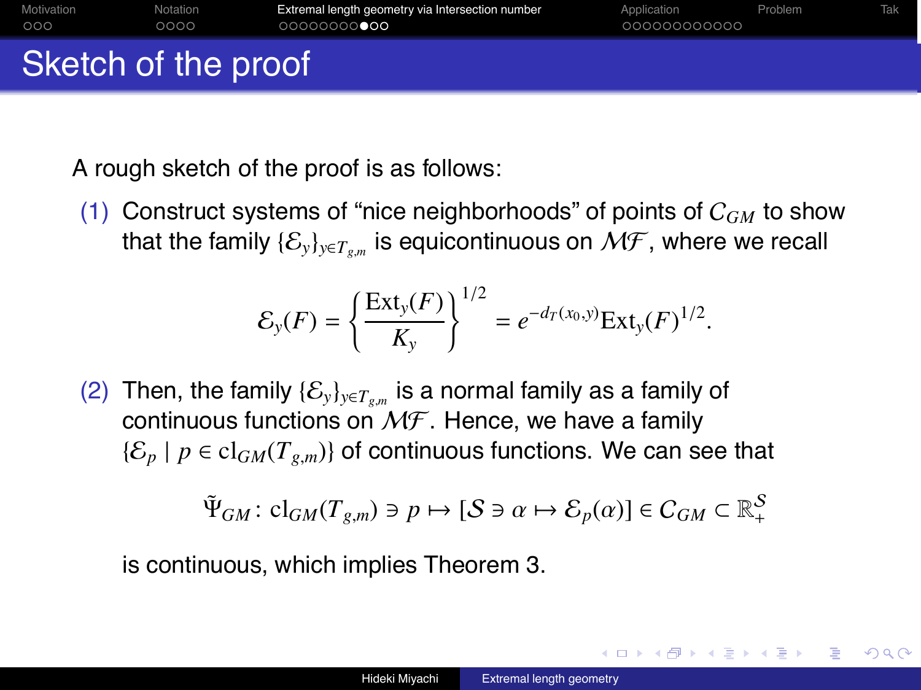| Motivation<br>000   | Notation<br>0000 | Extremal length geometry via Intersection number<br>00000000000 | Application<br>000000000000 | Problem | Tak |
|---------------------|------------------|-----------------------------------------------------------------|-----------------------------|---------|-----|
| Sketch of the proof |                  |                                                                 |                             |         |     |

A rough sketch of the proof is as follows:

(1) Construct systems of "nice neighborhoods" of points of C*GM* to show that the family  $\{\mathcal{E}_y\}_{y \in T_{gm}}$  is equicontinuous on  $\mathcal{MF}$ , where we recall

$$
\mathcal{E}_y(F) = \left\{ \frac{\text{Ext}_y(F)}{K_y} \right\}^{1/2} = e^{-d_T(x_0, y)} \text{Ext}_y(F)^{1/2}.
$$

(2) Then, the family  $\{\mathcal{E}_v\}_{v \in T_{g,m}}$  is a normal family as a family of continuous functions on  $M\mathcal{F}$ . Hence, we have a family  ${\{\mathcal{E}_p \mid p \in \text{cl}_{GM}(T_{g,m})\}}$  of continuous functions. We can see that

$$
\tilde{\Psi}_{GM}: \, cl_{GM}(T_{g,m}) \ni p \mapsto [\mathcal{S} \ni \alpha \mapsto \mathcal{E}_p(\alpha)] \in C_{GM} \subset \mathbb{R}_+^{\mathcal{S}}
$$

is continuous, which implies Theorem 3.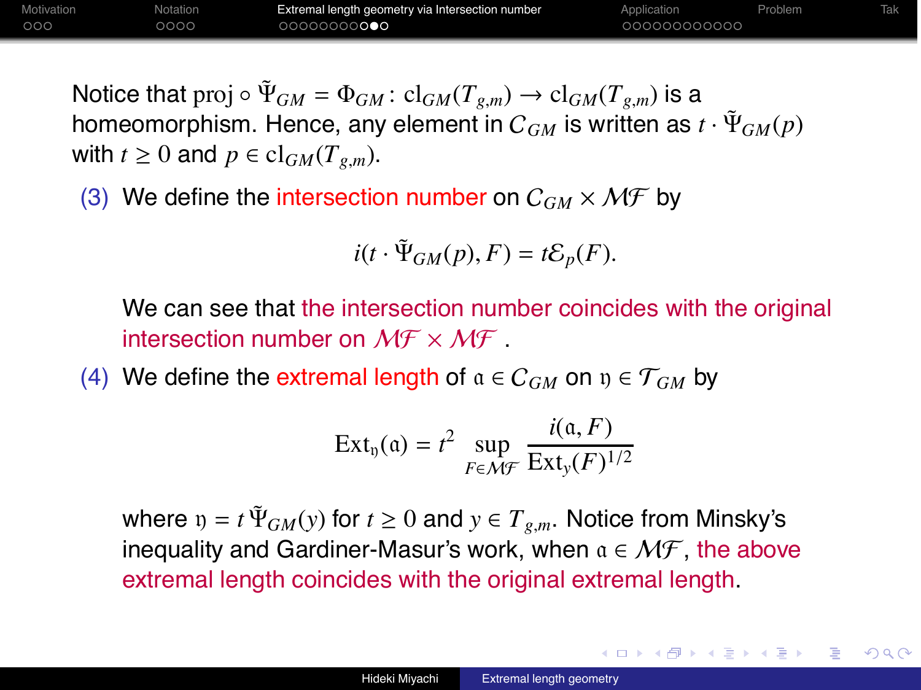Motivation **Notation Extremal length geometry via Intersection number** Application **Problem** Tak nnn  $0000$ 00000000000

∢ ロ ▶ ( 何 ) ( ミ ) ( ミ )

Notice that proj  $\circ \Psi_{GM} = \Phi_{GM} : cl_{GM}(T_{g,m}) \to cl_{GM}(T_{g,m})$  is a homeomorphism. Hence, any element in  $C_{GM}$  is written as  $t \cdot \Psi_{GM}(p)$ with  $t \geq 0$  and  $p \in \text{cl}_{GM}(T_{g,m})$ .

(3) We define the intersection number on  $C_{GM} \times \mathcal{MF}$  by

$$
i(t \cdot \tilde{\Psi}_{GM}(p), F) = t\mathcal{E}_p(F).
$$

We can see that the intersection number coincides with the original intersection number on  $M \to M \to M$ .

(4) We define the extremal length of  $a \in C_{GM}$  on  $y \in T_{GM}$  by

$$
Ext_{\mathfrak{y}}(\mathfrak{a}) = t^2 \sup_{F \in \mathcal{MF}} \frac{i(\mathfrak{a}, F)}{Ext_{\mathfrak{y}}(F)^{1/2}}
$$

where  $v = t \tilde{\Psi}_{GM}(y)$  for  $t \ge 0$  and  $y \in T_{g,m}$ . Notice from Minsky's inequality and Gardiner-Masur's work, when  $a \in \mathcal{MF}$ , the above extremal length coincides with the original extremal length.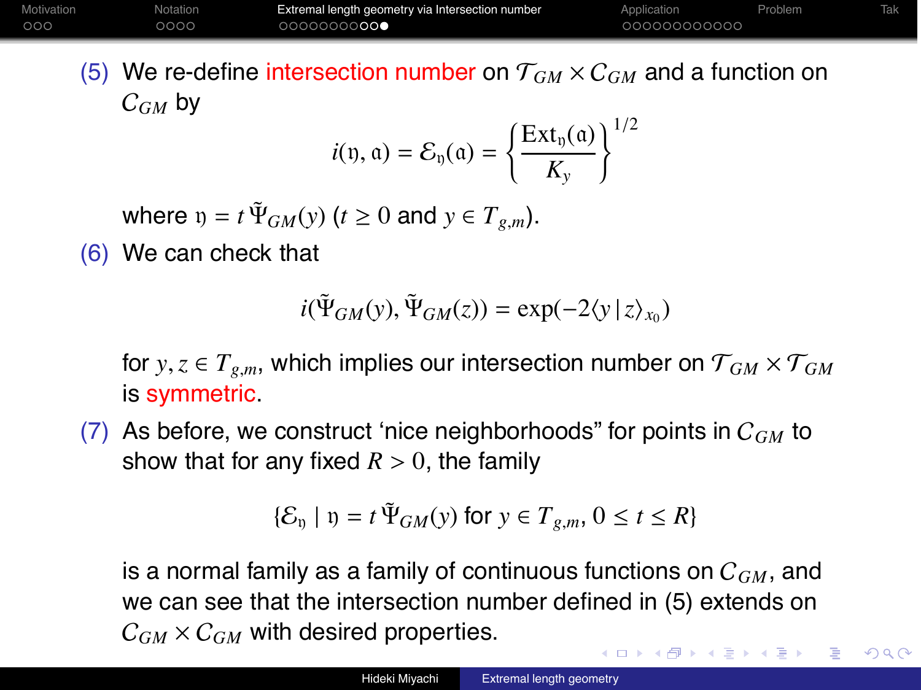| Motivation | Notation | Extremal length geometry via Intersection number | Application  | Problem |  |
|------------|----------|--------------------------------------------------|--------------|---------|--|
| 000        | 2000     | ○○○○○○○ <b>○○○</b>                               | 000000000000 |         |  |

(5) We re-define intersection number on  $T_{GM} \times C_{GM}$  and a function on C*GM* by  $\overline{2}$ 

$$
i(\mathfrak{y}, \mathfrak{a}) = \mathcal{E}_{\mathfrak{y}}(\mathfrak{a}) = \left\{ \frac{\operatorname{Ext}_{\mathfrak{y}}(\mathfrak{a})}{K_{y}} \right\}^{1/2}
$$

where  $y = t \Psi_{GM}(y)$  ( $t \ge 0$  and  $y \in T_{g,m}$ ).

(6) We can check that

$$
i(\tilde{\Psi}_{GM}(y),\tilde{\Psi}_{GM}(z))=\exp(-2\langle y\,|\,z\rangle_{x_0})
$$

for  $y, z \in T_{g,m}$ , which implies our intersection number on  $\mathcal{T}_{GM} \times \mathcal{T}_{GM}$ is symmetric.

(7) As before, we construct 'nice neighborhoods" for points in C*GM* to show that for any fixed  $R > 0$ , the family

$$
\{\mathcal{E}_{v} \mid v = t \tilde{\Psi}_{GM}(y) \text{ for } y \in T_{g,m}, 0 \le t \le R\}
$$

is a normal family as a family of continuous functions on C*GM*, and we can see that the intersection number defined in (5) extends on  $C_{GM} \times C_{GM}$  with desired properties.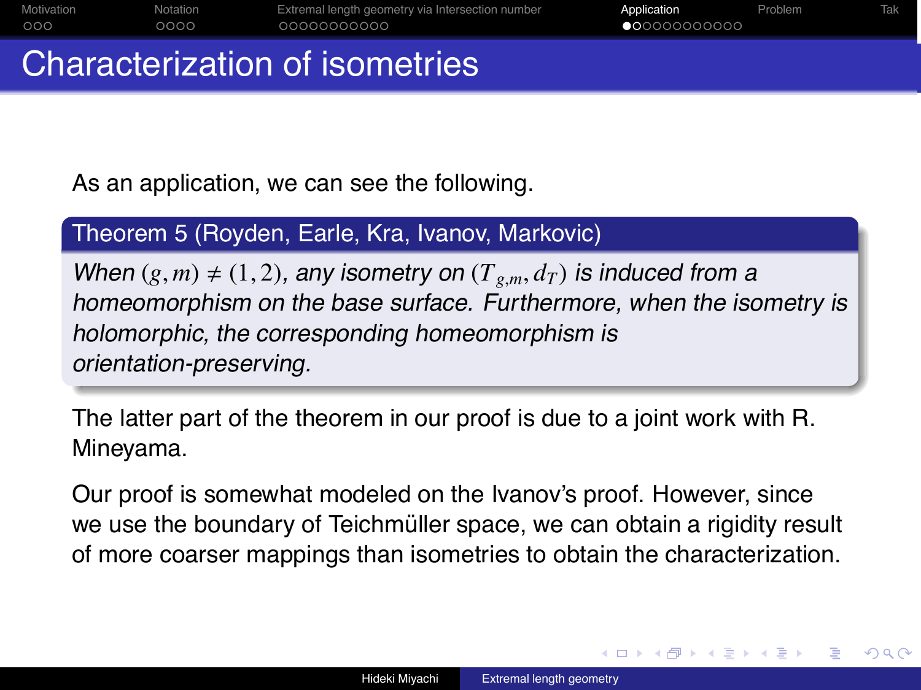| Motivation | Notation | Extremal length geometry via Intersection number | Application           | Problem | <b>Tak</b> |
|------------|----------|--------------------------------------------------|-----------------------|---------|------------|
| 000        | 0000     | 00000000000                                      | $\bullet$ 00000000000 |         |            |
|            |          |                                                  |                       |         |            |

# Characterization of isometries

As an application, we can see the following.

### Theorem 5 (Royden, Earle, Kra, Ivanov, Markovic)

When  $(g, m) \neq (1, 2)$ , any isometry on  $(T_{g,m}, d_T)$  is induced from a homeomorphism on the base surface. Furthermore, when the isometry is holomorphic, the corresponding homeomorphism is orientation-preserving.

The latter part of the theorem in our proof is due to a joint work with R. Mineyama.

Our proof is somewhat modeled on the Ivanov's proof. However, since we use the boundary of Teichmüller space, we can obtain a rigidity result of more coarser mappings than isometries to obtain the characterization.

つへへ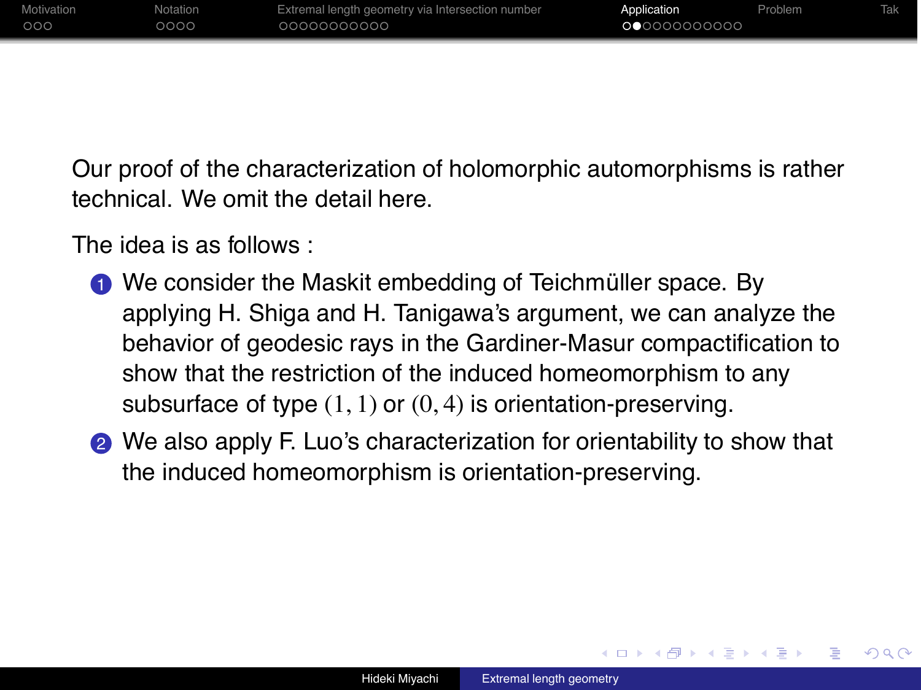| Motivation | Notation | Extremal length geometry via Intersection number | Application | Problem | Tak |
|------------|----------|--------------------------------------------------|-------------|---------|-----|
| 000        | 0000     | 00000000000                                      | 00000000000 |         |     |
|            |          |                                                  |             |         |     |

Our proof of the characterization of holomorphic automorphisms is rather technical. We omit the detail here.

The idea is as follows :

- We consider the Maskit embedding of Teichmüller space. By applying H. Shiga and H. Tanigawa's argument, we can analyze the behavior of geodesic rays in the Gardiner-Masur compactification to show that the restriction of the induced homeomorphism to any subsurface of type  $(1, 1)$  or  $(0, 4)$  is orientation-preserving.
- **2** We also apply F. Luo's characterization for orientability to show that the induced homeomorphism is orientation-preserving.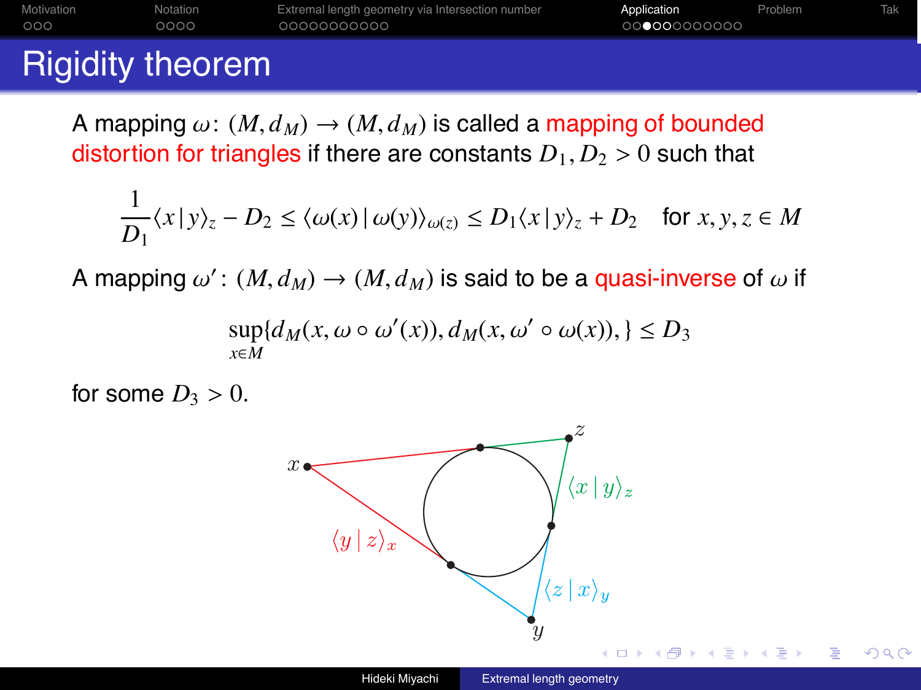| 000        | റററെ     | 00000000000                                      | 00000000000 |         |     |
|------------|----------|--------------------------------------------------|-------------|---------|-----|
| Motivation | Notation | Extremal length geometry via Intersection number | Application | Problem | Tak |

# Rigidity theorem

A mapping  $\omega$ :  $(M, d_M) \rightarrow (M, d_M)$  is called a mapping of bounded distortion for triangles if there are constants  $D_1, D_2 > 0$  such that

$$
\frac{1}{D_1}\langle x \, | \, y \rangle_z - D_2 \le \langle \omega(x) \, | \, \omega(y) \rangle_{\omega(z)} \le D_1\langle x \, | \, y \rangle_z + D_2 \quad \text{for } x, y, z \in M
$$

A mapping  $\omega'$ :  $(M, d_M) \rightarrow (M, d_M)$  is said to be a quasi-inverse of  $\omega$  if

$$
\sup_{x \in M} \{ d_M(x, \omega \circ \omega'(x)), d_M(x, \omega' \circ \omega(x)), \} \le D_3
$$

for some  $D_3 > 0$ .

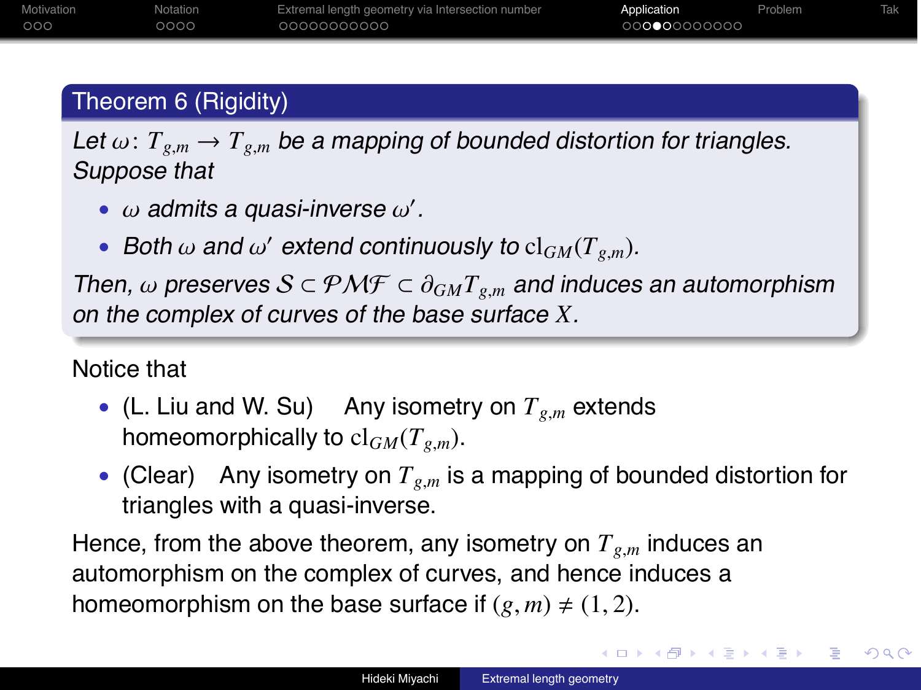## Theorem 6 (Rigidity)

Let  $\omega: T_{g,m} \to T_{g,m}$  be a mapping of bounded distortion for triangles. Suppose that

- $\bullet$   $\omega$  admits a quasi-inverse  $\omega'$ .
- Both  $\omega$  and  $\omega'$  extend continuously to  $cl_{GM}(T_{g,m})$ .

Then,  $\omega$  preserves  $S \subset \mathcal{PMF} \subset \partial_{GM}T_{g,m}$  and induces an automorphism on the complex of curves of the base surface *X*.

### Notice that

- (L. Liu and W. Su) Any isometry on  $T_{g,m}$  extends homeomorphically to  $cl_{GM}(T_{gm})$ .
- (Clear) Any isometry on  $T_{g,m}$  is a mapping of bounded distortion for triangles with a quasi-inverse.

Hence, from the above theorem, any isometry on  $T_{g,m}$  induces an automorphism on the complex of curves, and hence induces a homeomorphism on the base surface if  $(g, m) \neq (1, 2)$ .

◆ ロ ▶ → 伊 ▶ → ヨ ▶ → ヨ ▶ →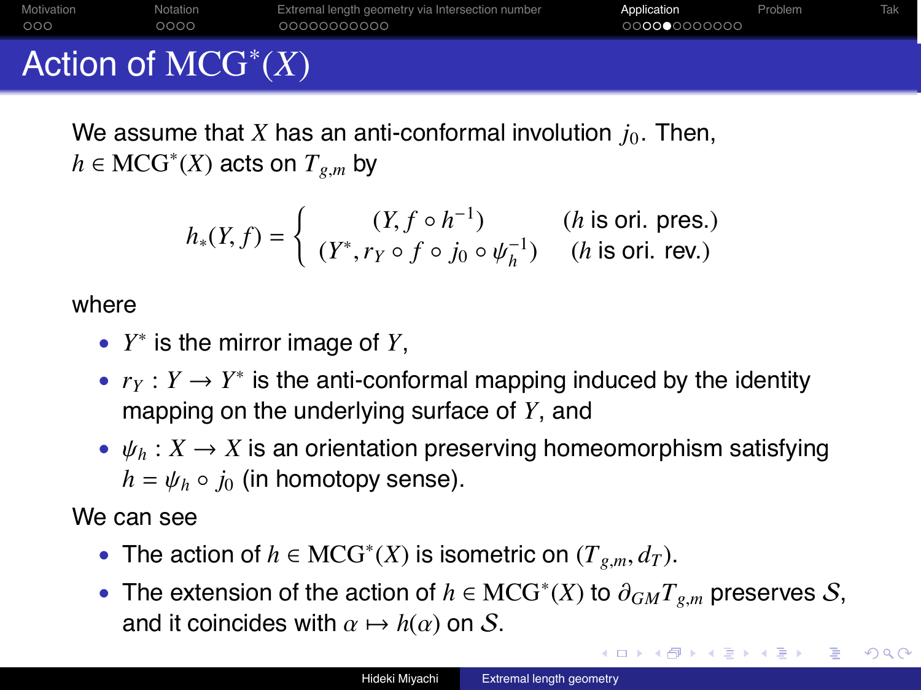| Motivation | Notation | Extremal length geometry via Intersection number | Application  | Problem |  |
|------------|----------|--------------------------------------------------|--------------|---------|--|
| 000        | 0000     | 0000000000                                       | 000000000000 |         |  |

# Action of MCG<sup>∗</sup> (*X*)

We assume that *X* has an anti-conformal involution  $j_0$ . Then,  $h \in \text{MCG}^*(X)$  acts on  $T_{g,m}$  by

$$
h_*(Y, f) = \begin{cases} (Y, f \circ h^{-1}) & (h \text{ is ori. pres.})\\ (Y^*, r_Y \circ f \circ j_0 \circ \psi_h^{-1}) & (h \text{ is ori. rev.}) \end{cases}
$$

#### where

- *Y*<sup>∗</sup> is the mirror image of *Y*,
- $r_Y: Y \to Y^*$  is the anti-conformal mapping induced by the identity mapping on the underlying surface of *Y*, and
- $\psi_h: X \to X$  is an orientation preserving homeomorphism satisfying  $h = \psi_h \circ i_0$  (in homotopy sense).

We can see

- The action of  $h \in \text{MCG}^*(X)$  is isometric on  $(T_{g,m}, d_T)$ .
- The extension of the action of  $h \in \text{MCG}^*(X)$  to  $\partial_{GM}T_{g,m}$  preserves S, and it coincides with  $\alpha \mapsto h(\alpha)$  on S.

∢ ロ ▶ ( 何 ) ( ミ ) ( ミ )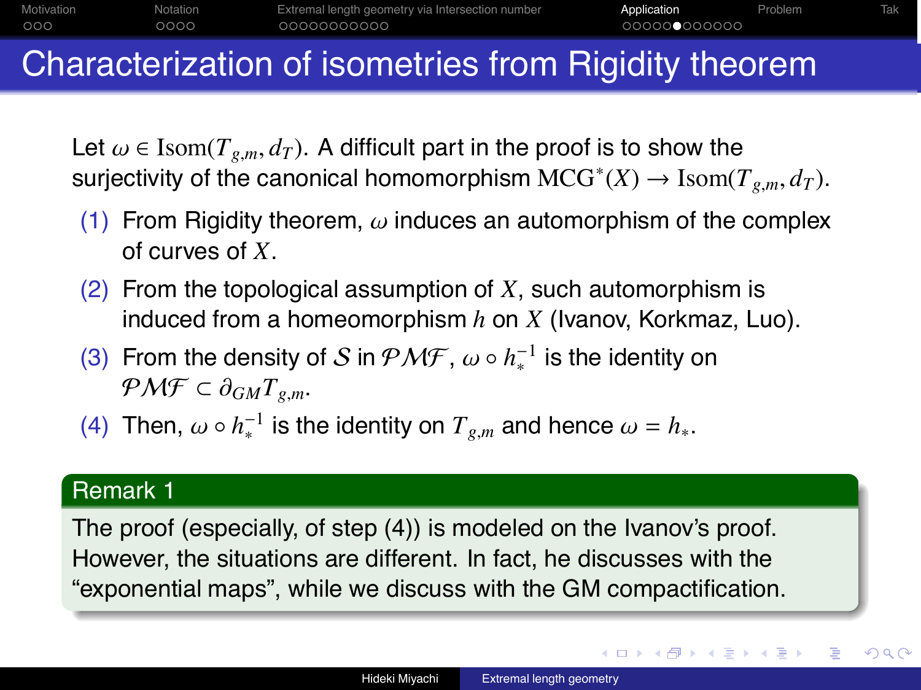

## Characterization of isometries from Rigidity theorem

Let  $\omega \in \text{Isom}(T_{g,m}, d_T)$ . A difficult part in the proof is to show the surjectivity of the canonical homomorphism  $\mathrm{MCG}^*(X) \to \mathrm{Isom}(T_{g,m}, d_T)$ .

- (1) From Rigidity theorem,  $\omega$  induces an automorphism of the complex of curves of *X*.
- (2) From the topological assumption of *X*, such automorphism is induced from a homeomorphism *h* on *X* (Ivanov, Korkmaz, Luo).
- (3) From the density of S in  $\mathcal{PMF}$ ,  $\omega \circ h_*^{-1}$  is the identity on  $P\mathcal{M}\mathcal{F} \subset \partial_{GM}T_{\varrho m}$ .
- (4) Then,  $\omega \circ h_*^{-1}$  is the identity on  $T_{g,m}$  and hence  $\omega = h_*$ .

#### Remark 1

The proof (especially, of step (4)) is modeled on the Ivanov's proof. However, the situations are different. In fact, he discusses with the "exponential maps", while we discuss with the GM compactification.

 $2Q$ 

∢ ロ ▶ ( 何 ) ( ミ ) ( ミ )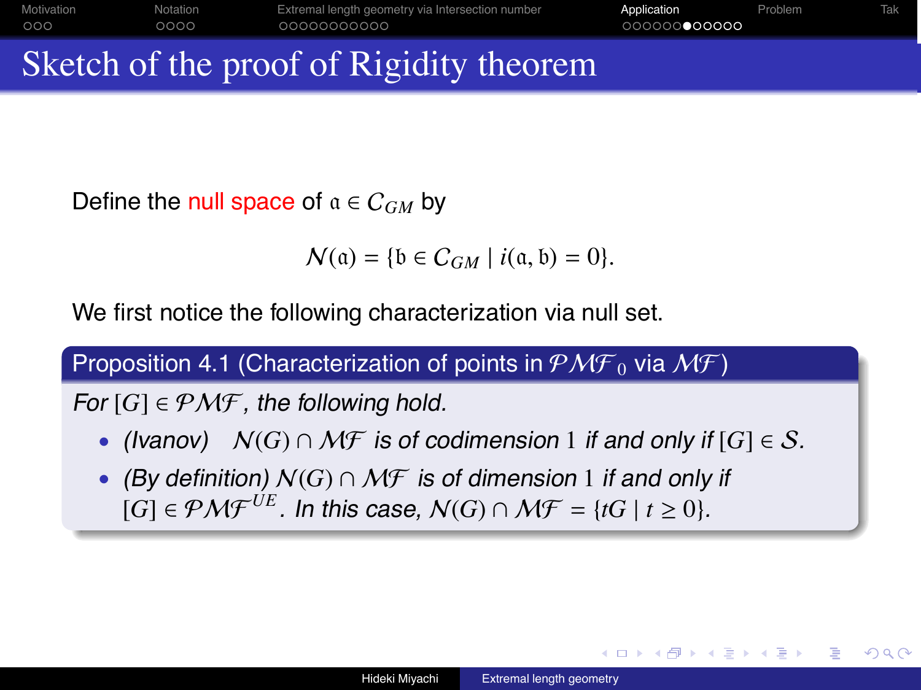| Motivation | Notation | Extremal length geometry via Intersection number | Application  | Problem | Tak: |
|------------|----------|--------------------------------------------------|--------------|---------|------|
| 000        | 0000     | 00000000000                                      | 000000000000 |         |      |
|            |          |                                                  |              |         |      |

# Sketch of the proof of Rigidity theorem

Define the null space of  $a \in C_{GM}$  by

 $\mathcal{N}(\mathfrak{a}) = \{ \mathfrak{b} \in C_{GM} \mid i(\mathfrak{a}, \mathfrak{b}) = 0 \}.$ 

We first notice the following characterization via null set.

Proposition 4.1 (Characterization of points in  $\mathcal{PMF}_0$  via  $\mathcal{MF})$ 

For  $[G] \in \mathcal{PMF}$ , the following hold.

- (Ivanov)  $N(G) \cap \mathcal{MF}$  is of codimension 1 if and only if  $[G] \in \mathcal{S}$ .
- (By definition)  $N(G) \cap \mathcal{MF}$  is of dimension 1 if and only if  $[G] \in \mathcal{PMF}^{UE}$ . In this case,  $\mathcal{N}(G) \cap \mathcal{MF} = \{tG \mid t \geq 0\}.$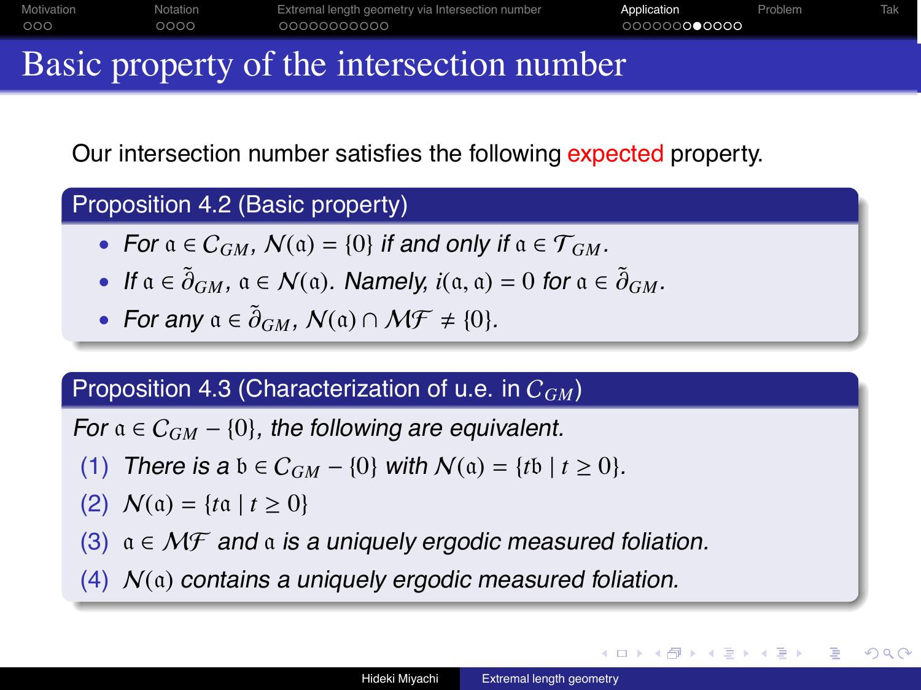| Motivation | Notation | Extremal length geometry via Intersection number | Application  | Problem | Tak |
|------------|----------|--------------------------------------------------|--------------|---------|-----|
| 000        | 0000     | 00000000000                                      | 000000000000 |         |     |
|            |          |                                                  |              |         |     |

## Basic property of the intersection number

Our intersection number satisfies the following expected property.

### Proposition 4.2 (Basic property)

- For  $a \in C_{GM}$ ,  $N(a) = \{0\}$  if and only if  $a \in \mathcal{T}_{GM}$ .
- If  $a \in \tilde{\partial}_{GM}$ ,  $a \in \mathcal{N}(a)$ . Namely,  $i(a, a) = 0$  for  $a \in \tilde{\partial}_{GM}$ .
- For any  $a \in \tilde{\partial}_{GM}$ ,  $\mathcal{N}(a) \cap \mathcal{MF} \neq \{0\}$ .

### Proposition 4.3 (Characterization of u.e. in C*GM*)

For  $a \in C_{GM}$  – {0}, the following are equivalent.

- (1) There is a  $b \in C_{GM} \{0\}$  with  $N(a) = \{tb \mid t > 0\}$ .
- (2)  $N(a) = \{t \cdot a \mid t \ge 0\}$
- (3)  $a \in \mathcal{MF}$  and  $a$  is a uniquely ergodic measured foliation.
- (4)  $N(a)$  contains a uniquely ergodic measured foliation.

つくい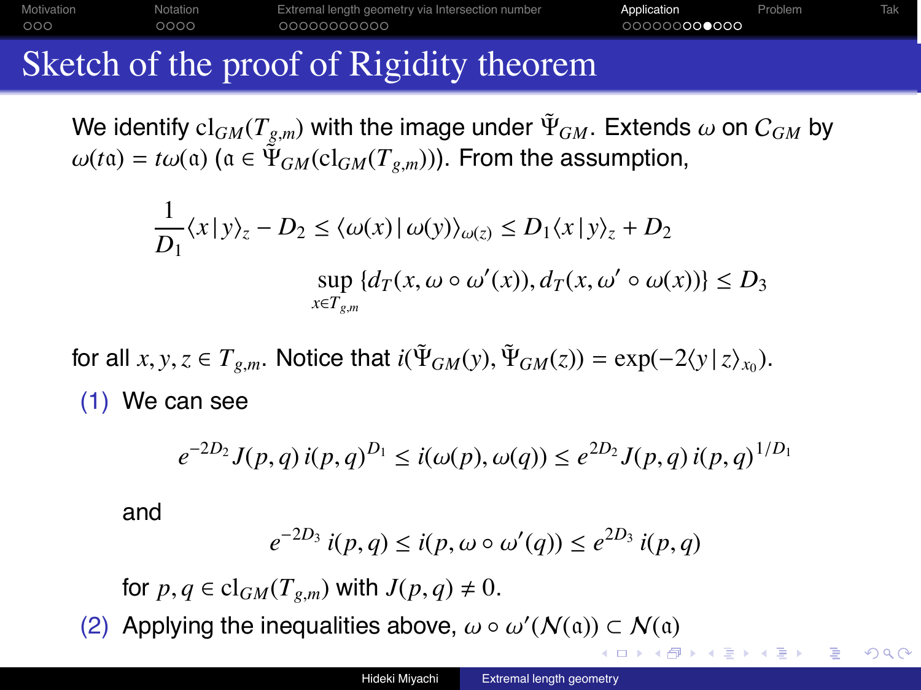Motivation **Notation** Extremal length geometry via Intersection number **Application** Problem Tak  $000$  $0000$ 00000000 ∩∩∩≏∩∩∩

# Sketch of the proof of Rigidity theorem

We identify  $\text{cl}_{GM}(T_{g,m})$  with the image under  $\tilde{\Psi}_{GM}$ . Extends  $\omega$  on  $C_{GM}$  by  $\omega(t\mathfrak{a}) = t\omega(\mathfrak{a})$  ( $\mathfrak{a} \in \Psi_{GM}(\mathrm{cl}_{GM}(T_{g,m}))$ ). From the assumption,

$$
\frac{1}{D_1}\langle x \, | \, y \rangle_z - D_2 \le \langle \omega(x) \, | \, \omega(y) \rangle_{\omega(z)} \le D_1 \langle x \, | \, y \rangle_z + D_2
$$
\n
$$
\sup_{x \in T_{g,m}} \{ d_T(x, \omega \circ \omega'(x)), d_T(x, \omega' \circ \omega(x)) \} \le D_3
$$

for all  $x, y, z \in T_{g,m}$ . Notice that  $i(\Psi_{GM}(y), \Psi_{GM}(z)) = \exp(-2\langle y | z \rangle_{x_0})$ . (1) We can see

$$
e^{-2D_2} J(p,q) i(p,q)^{D_1} \leq i(\omega(p), \omega(q)) \leq e^{2D_2} J(p,q) i(p,q)^{1/D_1}
$$

and

$$
e^{-2D_3} \, i(p,q) \leq i(p,\omega \circ \omega'(q)) \leq e^{2D_3} \, i(p,q)
$$

for  $p, q \in \text{cl}_{GM}(T_{g,m})$  with  $J(p,q) \neq 0$ .

(2) Applying the inequalities above,  $\omega \circ \omega'(N(\mathfrak{a})) \subset N(\mathfrak{a})$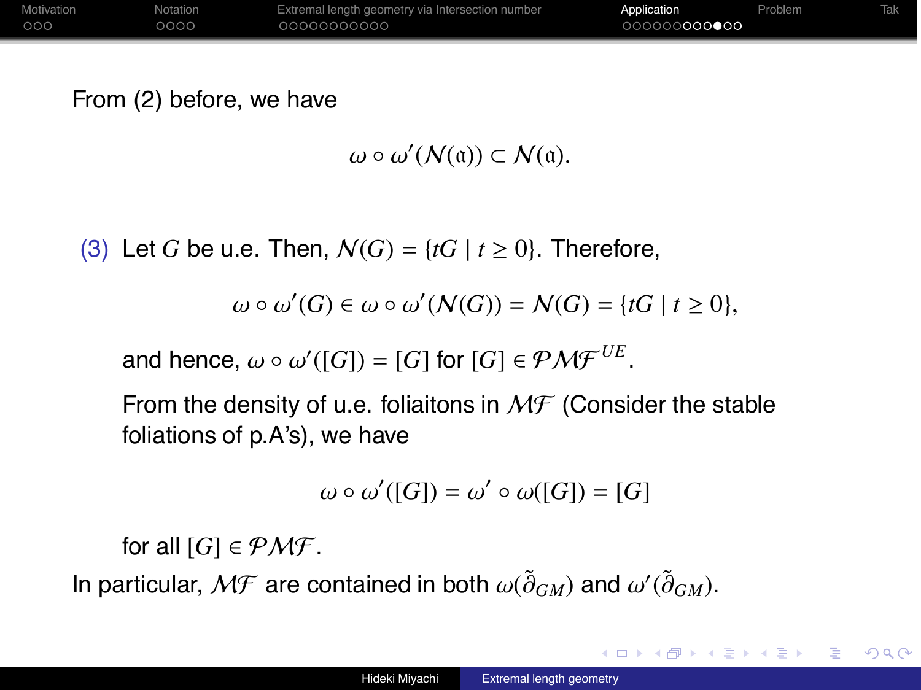| Motivation | Notation | Extremal length geometry via Intersection number | Application  | Problem | <b>Tak</b> |
|------------|----------|--------------------------------------------------|--------------|---------|------------|
| 000        | 0000     | 00000000000                                      | 000000000000 |         |            |

From (2) before, we have

 $\omega \circ \omega'(N(\mathfrak{a})) \subset N(\mathfrak{a}).$ 

(3) Let G be u.e. Then,  $N(G) = \{tG \mid t \ge 0\}$ . Therefore,

 $\omega \circ \omega'(G) \in \omega \circ \omega'(N(G)) = N(G) = \{tG \mid t \geq 0\},\$ 

and hence,  $\omega \circ \omega'([G]) = [G]$  for  $[G] \in \mathcal{PMF}^{UE}$ .

From the density of u.e. foliaitons in  $M\mathcal{F}$  (Consider the stable foliations of p.A's), we have

$$
\omega \circ \omega'([G]) = \omega' \circ \omega([G]) = [G]
$$

for all  $[G] \in \mathcal{PMF}$ .

In particular,  $\mathcal{MF}$  are contained in both  $\omega(\tilde{\partial}_{GM})$  and  $\omega'(\tilde{\partial}_{GM})$ .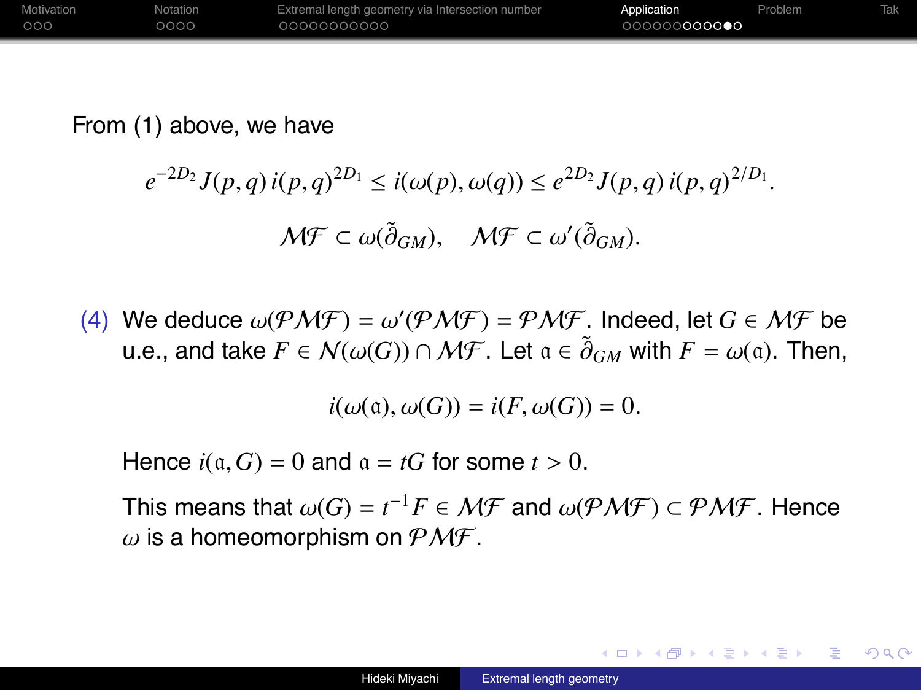| Motivation | Notation | Extremal length geometry via Intersection number | Application  | Problem |  |
|------------|----------|--------------------------------------------------|--------------|---------|--|
| 000        | 0000     | 00000000000                                      | 000000000000 |         |  |

From (1) above, we have

$$
e^{-2D_2} J(p,q) i(p,q)^{2D_1} \leq i(\omega(p), \omega(q)) \leq e^{2D_2} J(p,q) i(p,q)^{2/D_1}.
$$
  

$$
M \mathcal{F} \subset \omega(\tilde{\partial}_{GM}), \quad M \mathcal{F} \subset \omega'(\tilde{\partial}_{GM}).
$$

(4) We deduce  $\omega(P\mathcal{M}\mathcal{F}) = \omega'(P\mathcal{M}\mathcal{F}) = P\mathcal{M}\mathcal{F}$ . Indeed, let  $G \in \mathcal{M}\mathcal{F}$  be u.e., and take  $F \in \mathcal{N}(\omega(G)) \cap \mathcal{MF}$ . Let  $\mathfrak{a} \in \widetilde{\partial}_{GM}$  with  $F = \omega(\mathfrak{a})$ . Then,

 $i(\omega(\mathfrak{a}), \omega(G)) = i(F, \omega(G)) = 0.$ 

Hence  $i(\mathfrak{a}, G) = 0$  and  $\mathfrak{a} = tG$  for some  $t > 0$ .

This means that  $\omega(G) = t^{-1}F \in \mathcal{MF}$  and  $\omega(\mathcal{PMF}) \subset \mathcal{PMF}$ . Hence  $\omega$  is a homeomorphism on  $\mathcal{PMF}$ .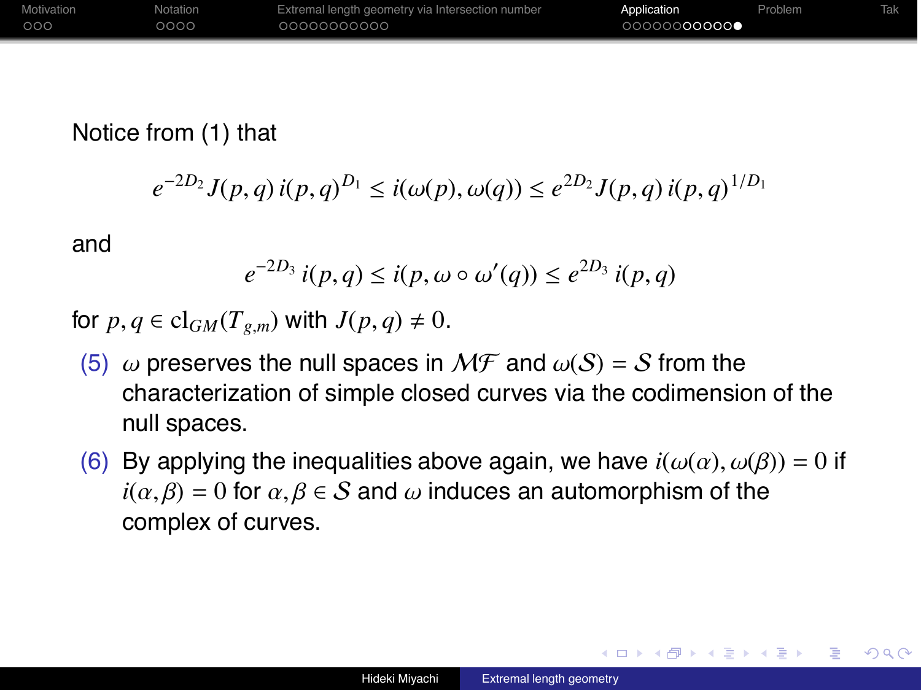| <b>Motivation</b> | Notation | Extremal length geometry via Intersection number | Application  | Problem | Tak |
|-------------------|----------|--------------------------------------------------|--------------|---------|-----|
| 000               | 0000     | 0000000000                                       | 00000000000● |         |     |

### Notice from (1) that

$$
e^{-2D_2} J(p,q) i(p,q)^{D_1} \leq i(\omega(p), \omega(q)) \leq e^{2D_2} J(p,q) i(p,q)^{1/D_1}
$$

and

$$
e^{-2D_3} i(p,q) \leq i(p, \omega \circ \omega'(q)) \leq e^{2D_3} i(p,q)
$$

for  $p, q \in \text{cl}_{GM}(T_{g,m})$  with  $J(p,q) \neq 0$ .

- (5)  $\omega$  preserves the null spaces in  $M\mathcal{F}$  and  $\omega(S) = S$  from the characterization of simple closed curves via the codimension of the null spaces.
- (6) By applying the inequalities above again, we have  $i(\omega(\alpha), \omega(\beta)) = 0$  if  $i(\alpha, \beta) = 0$  for  $\alpha, \beta \in S$  and  $\omega$  induces an automorphism of the complex of curves.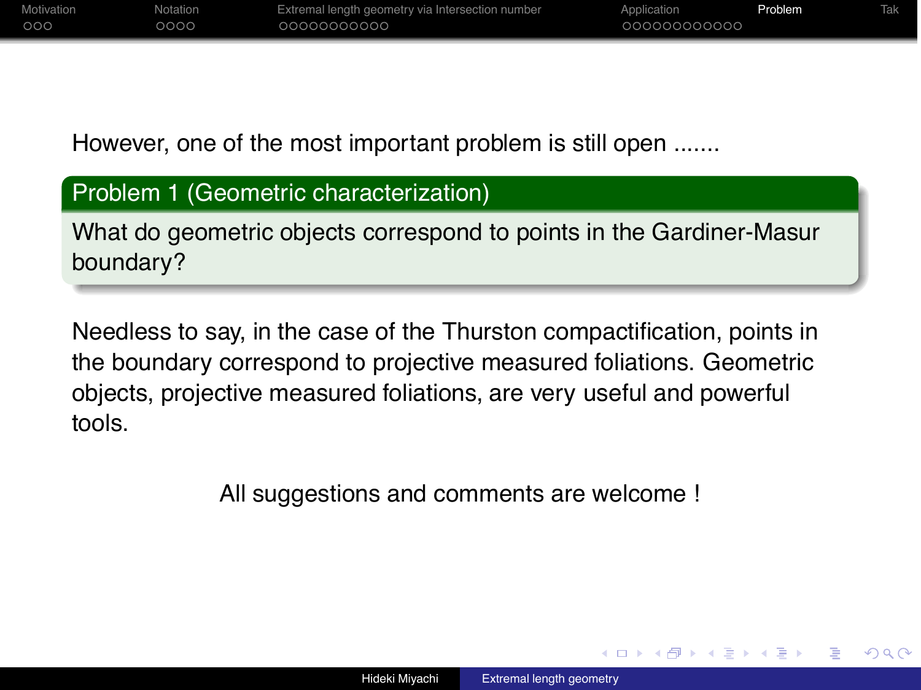| Motivation | Notation | Extremal length geometry via Intersection number | Application  | Problem |  |
|------------|----------|--------------------------------------------------|--------------|---------|--|
| 000        | 0000     | 00000000000                                      | 000000000000 |         |  |

However, one of the most important problem is still open .......

### Problem 1 (Geometric characterization)

What do geometric objects correspond to points in the Gardiner-Masur boundary?

Needless to say, in the case of the Thurston compactification, points in the boundary correspond to projective measured foliations. Geometric objects, projective measured foliations, are very useful and powerful tools.

All suggestions and comments are welcome !